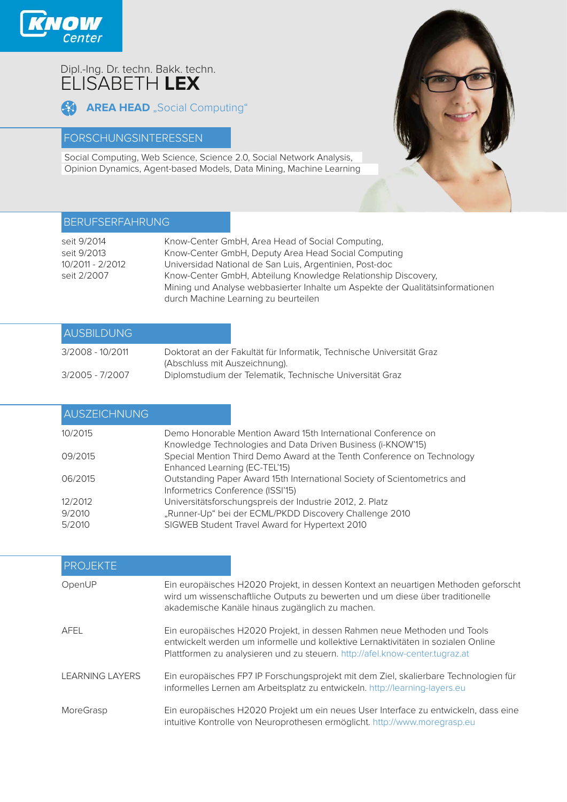

# Dipl.-Ing. Dr. techn. Bakk. techn. ELISABETH **LEX**

```
AREA HEAD "Social Computing"
```
### FORSCHUNGSINTERESSEN

Social Computing, Web Science, Science 2.0, Social Network Analysis, Opinion Dynamics, Agent-based Models, Data Mining, Machine Learning



## BERUFSERFAHRUNG

| seit 9/2014      | Know-Center GmbH, Area Head of Social Computing,                              |
|------------------|-------------------------------------------------------------------------------|
| seit 9/2013      | Know-Center GmbH, Deputy Area Head Social Computing                           |
| 10/2011 - 2/2012 | Universidad National de San Luis, Argentinien, Post-doc                       |
| seit 2/2007      | Know-Center GmbH, Abteilung Knowledge Relationship Discovery,                 |
|                  | Mining und Analyse webbasierter Inhalte um Aspekte der Qualitätsinformationen |
|                  | durch Machine Learning zu beurteilen                                          |

| <b>AUSBILDUNG</b> |                                                                                                       |
|-------------------|-------------------------------------------------------------------------------------------------------|
| 3/2008 - 10/2011  | Doktorat an der Fakultät für Informatik, Technische Universität Graz<br>(Abschluss mit Auszeichnung). |
| 3/2005 - 7/2007   | Diplomstudium der Telematik, Technische Universität Graz                                              |

| AUSZEICHNUNG |                                                                                                                              |
|--------------|------------------------------------------------------------------------------------------------------------------------------|
| 10/2015      | Demo Honorable Mention Award 15th International Conference on<br>Knowledge Technologies and Data Driven Business (i-KNOW'15) |
| 09/2015      | Special Mention Third Demo Award at the Tenth Conference on Technology<br>Enhanced Learning (EC-TEL'15)                      |
| 06/2015      | Outstanding Paper Award 15th International Society of Scientometrics and<br>Informetrics Conference (ISSI'15)                |
| 12/2012      | Universitätsforschungspreis der Industrie 2012, 2. Platz                                                                     |
| 9/2010       | "Runner-Up" bei der ECML/PKDD Discovery Challenge 2010                                                                       |
| 5/2010       | SIGWEB Student Travel Award for Hypertext 2010                                                                               |

| <b>PROJEKTE</b>        |                                                                                                                                                                                                                                               |
|------------------------|-----------------------------------------------------------------------------------------------------------------------------------------------------------------------------------------------------------------------------------------------|
| OpenUP                 | Ein europäisches H2020 Projekt, in dessen Kontext an neuartigen Methoden geforscht<br>wird um wissenschaftliche Outputs zu bewerten und um diese über traditionelle<br>akademische Kanäle hinaus zugänglich zu machen.                        |
| AFEL                   | Ein europäisches H2020 Projekt, in dessen Rahmen neue Methoden und Tools<br>entwickelt werden um informelle und kollektive Lernaktivitäten in sozialen Online<br>Plattformen zu analysieren und zu steuern. http://afel.know-center.tugraz.at |
| <b>LEARNING LAYERS</b> | Ein europäisches FP7 IP Forschungsprojekt mit dem Ziel, skalierbare Technologien für<br>informelles Lernen am Arbeitsplatz zu entwickeln. http://learning-layers.eu                                                                           |
| MoreGrasp              | Ein europäisches H2020 Projekt um ein neues User Interface zu entwickeln, dass eine<br>intuitive Kontrolle von Neuroprothesen ermöglicht. http://www.moregrasp.eu                                                                             |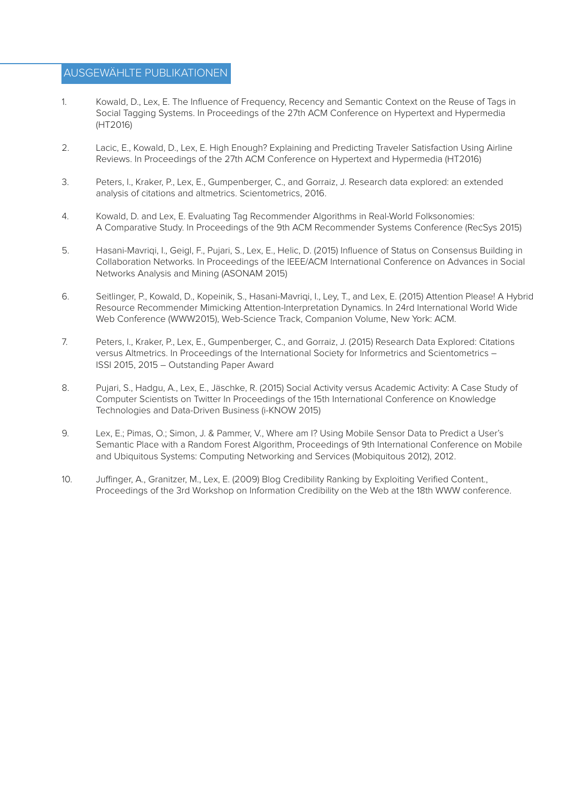#### AUSGEWÄHLTE PUBLIKATIONEN

- 1. Kowald, D., Lex, E. The Influence of Frequency, Recency and Semantic Context on the Reuse of Tags in Social Tagging Systems. In Proceedings of the 27th ACM Conference on Hypertext and Hypermedia (HT2016)
- 2. Lacic, E., Kowald, D., Lex, E. High Enough? Explaining and Predicting Traveler Satisfaction Using Airline Reviews. In Proceedings of the 27th ACM Conference on Hypertext and Hypermedia (HT2016)
- 3. Peters, I., Kraker, P., Lex, E., Gumpenberger, C., and Gorraiz, J. Research data explored: an extended analysis of citations and altmetrics. Scientometrics, 2016.
- 4. Kowald, D. and Lex, E. Evaluating Tag Recommender Algorithms in Real-World Folksonomies: A Comparative Study. In Proceedings of the 9th ACM Recommender Systems Conference (RecSys 2015)
- 5. Hasani-Mavriqi, I., Geigl, F., Pujari, S., Lex, E., Helic, D. (2015) Influence of Status on Consensus Building in Collaboration Networks. In Proceedings of the IEEE/ACM International Conference on Advances in Social Networks Analysis and Mining (ASONAM 2015)
- 6. Seitlinger, P., Kowald, D., Kopeinik, S., Hasani-Mavriqi, I., Ley, T., and Lex, E. (2015) Attention Please! A Hybrid Resource Recommender Mimicking Attention-Interpretation Dynamics. In 24rd International World Wide Web Conference (WWW2015), Web-Science Track, Companion Volume, New York: ACM.
- 7. Peters, I., Kraker, P., Lex, E., Gumpenberger, C., and Gorraiz, J. (2015) Research Data Explored: Citations versus Altmetrics. In Proceedings of the International Society for Informetrics and Scientometrics – ISSI 2015, 2015 – Outstanding Paper Award
- 8. Pujari, S., Hadgu, A., Lex, E., Jäschke, R. (2015) Social Activity versus Academic Activity: A Case Study of Computer Scientists on Twitter In Proceedings of the 15th International Conference on Knowledge Technologies and Data-Driven Business (i-KNOW 2015)
- 9. Lex, E.; Pimas, O.; Simon, J. & Pammer, V., Where am I? Using Mobile Sensor Data to Predict a User's Semantic Place with a Random Forest Algorithm, Proceedings of 9th International Conference on Mobile and Ubiquitous Systems: Computing Networking and Services (Mobiquitous 2012), 2012.
- 10. Juffinger, A., Granitzer, M., Lex, E. (2009) Blog Credibility Ranking by Exploiting Verified Content., Proceedings of the 3rd Workshop on Information Credibility on the Web at the 18th WWW conference.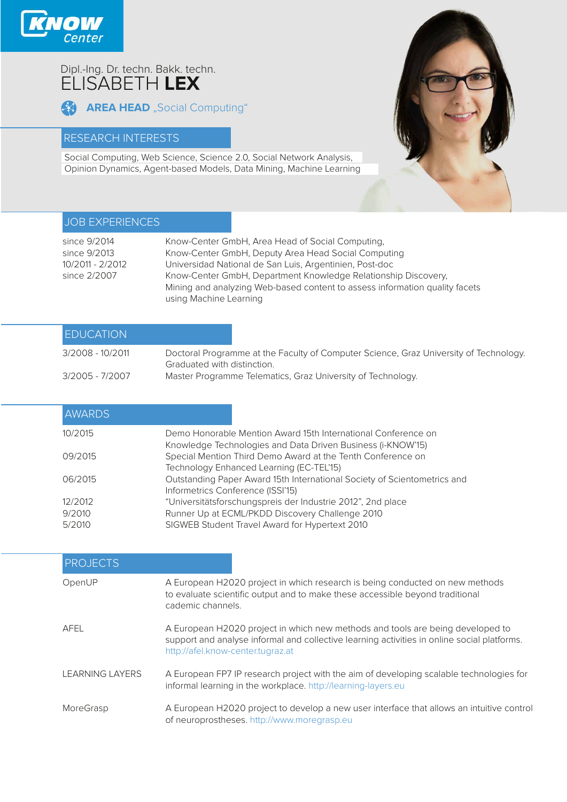

# Dipl.-Ing. Dr. techn. Bakk. techn. ELISABETH **LEX**

**AREA HEAD** "Social Computing"

### RESEARCH INTERESTS

Social Computing, Web Science, Science 2.0, Social Network Analysis, Opinion Dynamics, Agent-based Models, Data Mining, Machine Learning



## JOB EXPERIENCES

| since 9/2014     | Know-Center GmbH, Area Head of Social Computing,                            |
|------------------|-----------------------------------------------------------------------------|
| since 9/2013     | Know-Center GmbH, Deputy Area Head Social Computing                         |
| 10/2011 - 2/2012 | Universidad National de San Luis, Argentinien, Post-doc                     |
| since 2/2007     | Know-Center GmbH, Department Knowledge Relationship Discovery,              |
|                  | Mining and analyzing Web-based content to assess information quality facets |
|                  | using Machine Learning                                                      |

| <b>EDUCATION</b> |                                                                                                                      |
|------------------|----------------------------------------------------------------------------------------------------------------------|
| 3/2008 - 10/2011 | Doctoral Programme at the Faculty of Computer Science, Graz University of Technology.<br>Graduated with distinction. |
| 3/2005 - 7/2007  | Master Programme Telematics, Graz University of Technology.                                                          |

| <b>AWARDS</b> |                                                                                                                            |
|---------------|----------------------------------------------------------------------------------------------------------------------------|
| 10/2015       | Demo Honorable Mention Award 15th International Conference on                                                              |
| 09/2015       | Knowledge Technologies and Data Driven Business (i-KNOW'15)<br>Special Mention Third Demo Award at the Tenth Conference on |
|               | Technology Enhanced Learning (EC-TEL'15)                                                                                   |
| 06/2015       | Outstanding Paper Award 15th International Society of Scientometrics and<br>Informetrics Conference (ISSI'15)              |
| 12/2012       | "Universitätsforschungspreis der Industrie 2012", 2nd place                                                                |
| 9/2010        | Runner Up at ECML/PKDD Discovery Challenge 2010                                                                            |
| 5/2010        | SIGWEB Student Travel Award for Hypertext 2010                                                                             |

| <b>PROJECTS</b>        |                                                                                                                                                                                                                    |
|------------------------|--------------------------------------------------------------------------------------------------------------------------------------------------------------------------------------------------------------------|
| OpenUP                 | A European H2020 project in which research is being conducted on new methods<br>to evaluate scientific output and to make these accessible beyond traditional<br>cademic channels.                                 |
| AFEL                   | A European H2020 project in which new methods and tools are being developed to<br>support and analyse informal and collective learning activities in online social platforms.<br>http://afel.know-center.tugraz.at |
| <b>LEARNING LAYERS</b> | A European FP7 IP research project with the aim of developing scalable technologies for<br>informal learning in the workplace. http://learning-layers.eu                                                           |
| MoreGrasp              | A European H2020 project to develop a new user interface that allows an intuitive control<br>of neuroprostheses. http://www.moregrasp.eu                                                                           |